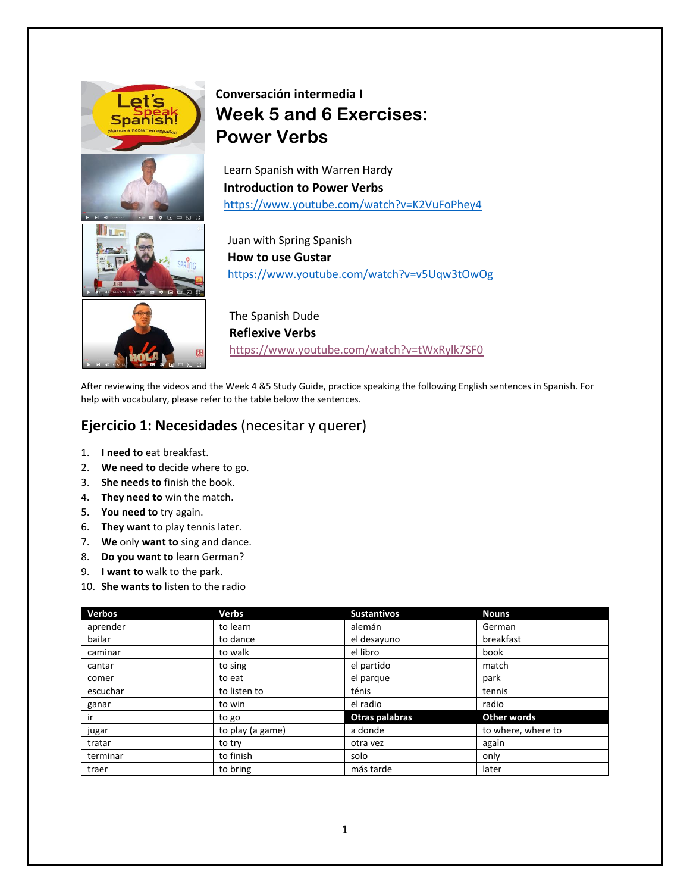



# **Conversación intermedia I Week 5 and 6 Exercises: Power Verbs**

Learn Spanish with Warren Hardy **Introduction to Power Verbs** <https://www.youtube.com/watch?v=K2VuFoPhey4>

Juan with Spring Spanish **How to use Gustar** <https://www.youtube.com/watch?v=v5Uqw3tOwOg>

The Spanish Dude **Reflexive Verbs** <https://www.youtube.com/watch?v=tWxRylk7SF0>

After reviewing the videos and the Week 4 &5 Study Guide, practice speaking the following English sentences in Spanish. For help with vocabulary, please refer to the table below the sentences.

# **Ejercicio 1: Necesidades** (necesitar y querer)

- 1. **I need to** eat breakfast.
- 2. **We need to** decide where to go.
- 3. **She needs to** finish the book.
- 4. **They need to** win the match.
- 5. **You need to** try again.
- 6. **They want** to play tennis later.
- 7. **We** only **want to** sing and dance.
- 8. **Do you want to** learn German?
- 9. **I want to** walk to the park.
- 10. **She wants to** listen to the radio

| <b>Verbos</b> | <b>Verbs</b>     | <b>Sustantivos</b> | <b>Nouns</b>       |
|---------------|------------------|--------------------|--------------------|
| aprender      | to learn         | alemán             | German             |
| bailar        | to dance         | el desayuno        | breakfast          |
| caminar       | to walk          | el libro           | book               |
| cantar        | to sing          | el partido         | match              |
| comer         | to eat           | el parque          | park               |
| escuchar      | to listen to     | ténis              | tennis             |
| ganar         | to win           | el radio           | radio              |
| ir            | to go            | Otras palabras     | Other words        |
| jugar         | to play (a game) | a donde            | to where, where to |
| tratar        | to try           | otra vez           | again              |
| terminar      | to finish        | solo               | only               |
| traer         | to bring         | más tarde          | later              |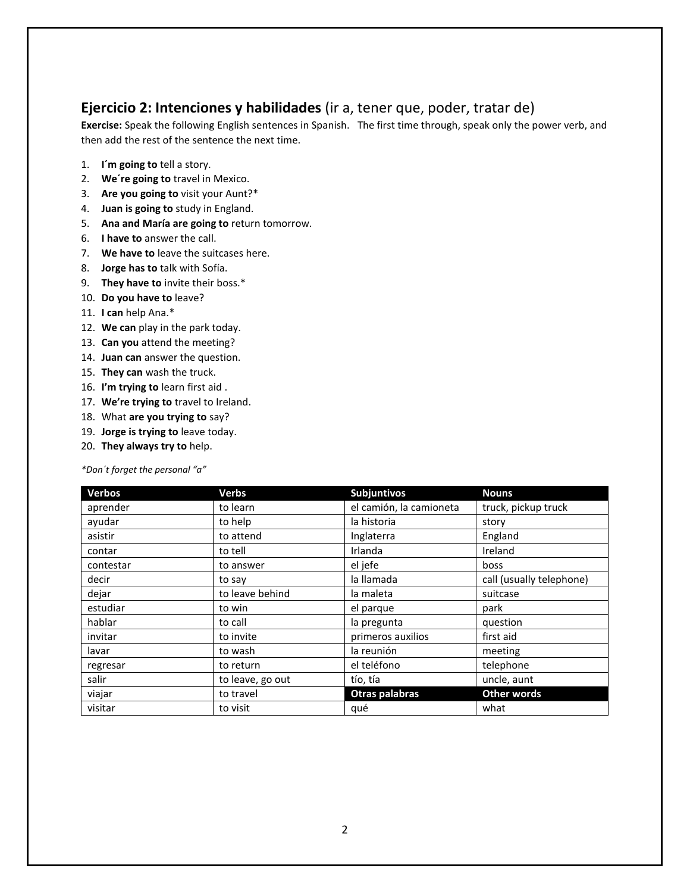#### **Ejercicio 2: Intenciones y habilidades** (ir a, tener que, poder, tratar de)

**Exercise:** Speak the following English sentences in Spanish. The first time through, speak only the power verb, and then add the rest of the sentence the next time.

- 1. **I´m going to** tell a story.
- 2. **We´re going to** travel in Mexico.
- 3. **Are you going to** visit your Aunt?\*
- 4. **Juan is going to** study in England.
- 5. **Ana and María are going to** return tomorrow.
- 6. **I have to** answer the call.
- 7. **We have to** leave the suitcases here.
- 8. **Jorge has to** talk with Sofía.
- 9. **They have to** invite their boss.\*
- 10. **Do you have to** leave?
- 11. **I can** help Ana.\*
- 12. **We can** play in the park today.
- 13. **Can you** attend the meeting?
- 14. **Juan can** answer the question.
- 15. **They can** wash the truck.
- 16. **I'm trying to** learn first aid .
- 17. **We're trying to** travel to Ireland.
- 18. What **are you trying to** say?
- 19. **Jorge is trying to** leave today.
- 20. **They always try to** help.

*\*Don´t forget the personal "a"*

| <b>Verbos</b> | <b>Verbs</b>     | <b>Subjuntivos</b>      | <b>Nouns</b>             |
|---------------|------------------|-------------------------|--------------------------|
| aprender      | to learn         | el camión, la camioneta | truck, pickup truck      |
| ayudar        | to help          | la historia             | story                    |
| asistir       | to attend        | Inglaterra              | England                  |
| contar        | to tell          | Irlanda                 | Ireland                  |
| contestar     | to answer        | el jefe                 | boss                     |
| decir         | to say           | la llamada              | call (usually telephone) |
| dejar         | to leave behind  | la maleta               | suitcase                 |
| estudiar      | to win           | el parque               | park                     |
| hablar        | to call          | la pregunta             | question                 |
| invitar       | to invite        | primeros auxilios       | first aid                |
| lavar         | to wash          | la reunión              | meeting                  |
| regresar      | to return        | el teléfono             | telephone                |
| salir         | to leave, go out | tío, tía                | uncle, aunt              |
| viajar        | to travel        | Otras palabras          | <b>Other words</b>       |
| visitar       | to visit         | qué                     | what                     |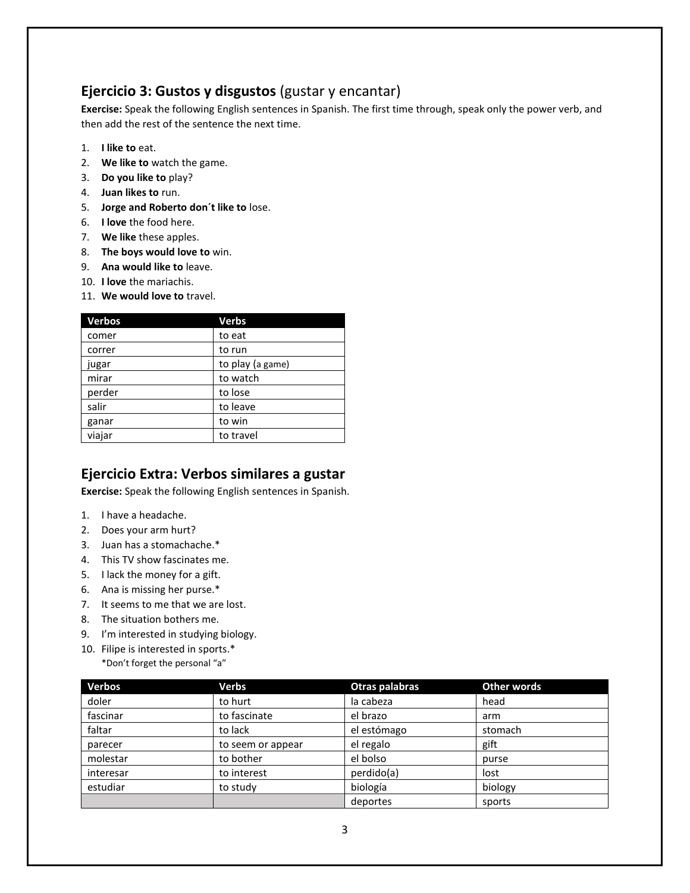#### **Ejercicio 3: Gustos y disgustos** (gustar y encantar)

**Exercise:** Speak the following English sentences in Spanish. The first time through, speak only the power verb, and then add the rest of the sentence the next time.

- 1. **I like to** eat.
- 2. **We like to** watch the game.
- 3. **Do you like to** play?
- 4. **Juan likes to** run.
- 5. **Jorge and Roberto don´t like to** lose.
- 6. **I love** the food here.
- 7. **We like** these apples.
- 8. **The boys would love to** win.
- 9. **Ana would like to** leave.
- 10. **I love** the mariachis.
- 11. **We would love to** travel.

| <b>Verbos</b> | <b>Verbs</b>     |
|---------------|------------------|
| comer         | to eat           |
| correr        | to run           |
| jugar         | to play (a game) |
| mirar         | to watch         |
| perder        | to lose          |
| salir         | to leave         |
| ganar         | to win           |
| viajar        | to travel        |

# **Ejercicio Extra: Verbos similares a gustar**

**Exercise:** Speak the following English sentences in Spanish.

- 1. I have a headache.
- 2. Does your arm hurt?
- 3. Juan has a stomachache.\*
- 4. This TV show fascinates me.
- 5. I lack the money for a gift.
- 6. Ana is missing her purse.\*
- 7. It seems to me that we are lost.
- 8. The situation bothers me.
- 9. I'm interested in studying biology.
- 10. Filipe is interested in sports.\* \*Don't forget the personal "a"

| <b>Verbos</b> | Verbs             | Otras palabras | Other words |
|---------------|-------------------|----------------|-------------|
| doler         | to hurt           | la cabeza      | head        |
| fascinar      | to fascinate      | el brazo       | arm         |
| faltar        | to lack           | el estómago    | stomach     |
| parecer       | to seem or appear | el regalo      | gift        |
| molestar      | to bother         | el bolso       | purse       |
| interesar     | to interest       | perdido(a)     | lost        |
| estudiar      | to study          | biología       | biology     |
|               |                   | deportes       | sports      |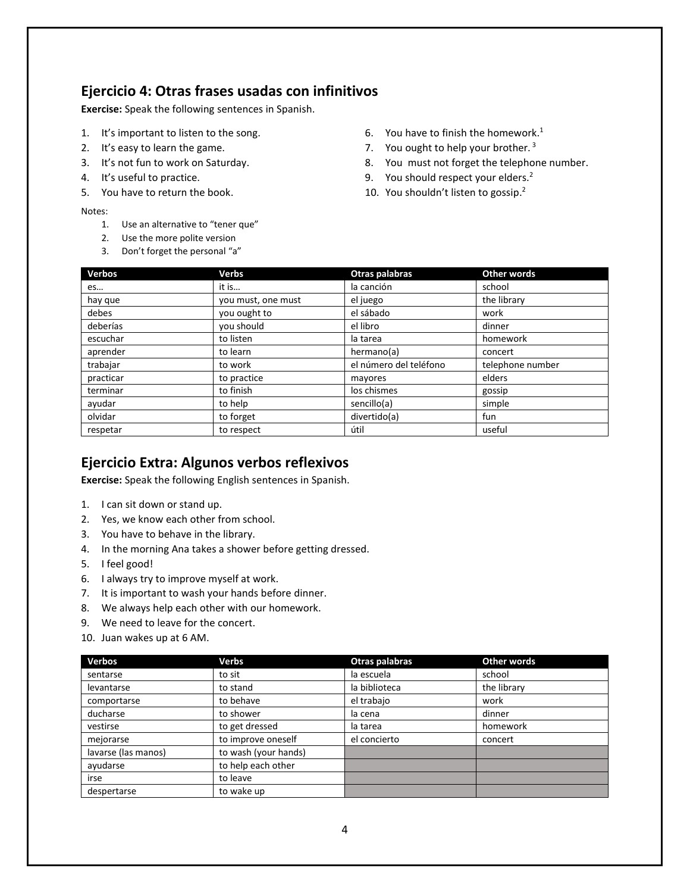#### **Ejercicio 4: Otras frases usadas con infinitivos**

**Exercise:** Speak the following sentences in Spanish.

- 1. It's important to listen to the song.
- 2. It's easy to learn the game.
- 3. It's not fun to work on Saturday.
- 4. It's useful to practice.
- 5. You have to return the book.

#### Notes:

- 1. Use an alternative to "tener que"
- 2. Use the more polite version
- 3. Don't forget the personal "a"
- 6. You have to finish the homework. $<sup>1</sup>$ </sup>
- 7. You ought to help your brother.  $3$
- 8. You must not forget the telephone number.
- 9. You should respect your elders.<sup>2</sup>
- 10. You shouldn't listen to gossip.<sup>2</sup>

| <b>Verbos</b> | <b>Verbs</b>       | Otras palabras         | <b>Other words</b> |
|---------------|--------------------|------------------------|--------------------|
| es            | it is              | la canción             | school             |
| hay que       | you must, one must | el juego               | the library        |
| debes         | you ought to       | el sábado              | work               |
| deberías      | you should         | el libro               | dinner             |
| escuchar      | to listen          | la tarea               | homework           |
| aprender      | to learn           | hermano(a)             | concert            |
| trabajar      | to work            | el número del teléfono | telephone number   |
| practicar     | to practice        | mayores                | elders             |
| terminar      | to finish          | los chismes            | gossip             |
| ayudar        | to help            | sencillo(a)            | simple             |
| olvidar       | to forget          | divertido(a)           | fun                |
| respetar      | to respect         | útil                   | useful             |

#### **Ejercicio Extra: Algunos verbos reflexivos**

**Exercise:** Speak the following English sentences in Spanish.

- 1. I can sit down or stand up.
- 2. Yes, we know each other from school.
- 3. You have to behave in the library.
- 4. In the morning Ana takes a shower before getting dressed.
- 5. I feel good!
- 6. I always try to improve myself at work.
- 7. It is important to wash your hands before dinner.
- 8. We always help each other with our homework.
- 9. We need to leave for the concert.
- 10. Juan wakes up at 6 AM.

| <b>Verbos</b>       | Verbs                | Otras palabras | Other words |
|---------------------|----------------------|----------------|-------------|
| sentarse            | to sit               | la escuela     | school      |
| levantarse          | to stand             | la biblioteca  | the library |
| comportarse         | to behave            | el trabajo     | work        |
| ducharse            | to shower            | la cena        | dinner      |
| vestirse            | to get dressed       | la tarea       | homework    |
| mejorarse           | to improve oneself   | el concierto   | concert     |
| lavarse (las manos) | to wash (your hands) |                |             |
| ayudarse            | to help each other   |                |             |
| irse                | to leave             |                |             |
| despertarse         | to wake up           |                |             |